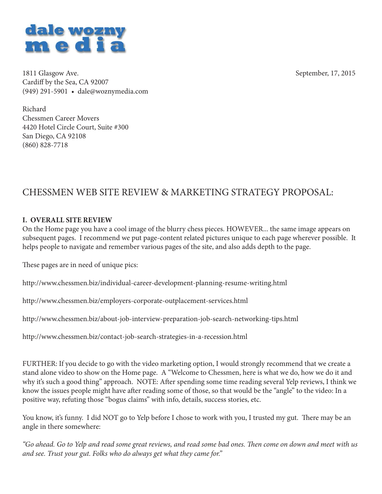

1811 Glasgow Ave. September, 17, 2015 Cardiff by the Sea, CA 92007 (949) 291-5901 • dale@woznymedia.com

Richard Chessmen Career Movers 4420 Hotel Circle Court, Suite #300 San Diego, CA 92108 (860) 828-7718

# CHESSMEN WEB SITE REVIEW & MARKETING STRATEGY PROPOSAL:

#### **I. OVERALL SITE REVIEW**

On the Home page you have a cool image of the blurry chess pieces. HOWEVER... the same image appears on subsequent pages. I recommend we put page-content related pictures unique to each page wherever possible. It helps people to navigate and remember various pages of the site, and also adds depth to the page.

These pages are in need of unique pics:

http://www.chessmen.biz/individual-career-development-planning-resume-writing.html

http://www.chessmen.biz/employers-corporate-outplacement-services.html

http://www.chessmen.biz/about-job-interview-preparation-job-search-networking-tips.html

http://www.chessmen.biz/contact-job-search-strategies-in-a-recession.html

FURTHER: If you decide to go with the video marketing option, I would strongly recommend that we create a stand alone video to show on the Home page. A "Welcome to Chessmen, here is what we do, how we do it and why it's such a good thing" approach. NOTE: After spending some time reading several Yelp reviews, I think we know the issues people might have after reading some of those, so that would be the "angle" to the video: In a positive way, refuting those "bogus claims" with info, details, success stories, etc.

You know, it's funny. I did NOT go to Yelp before I chose to work with you, I trusted my gut. There may be an angle in there somewhere:

*"Go ahead. Go to Yelp and read some great reviews, and read some bad ones. Th en come on down and meet with us and see. Trust your gut. Folks who do always get what they came for."*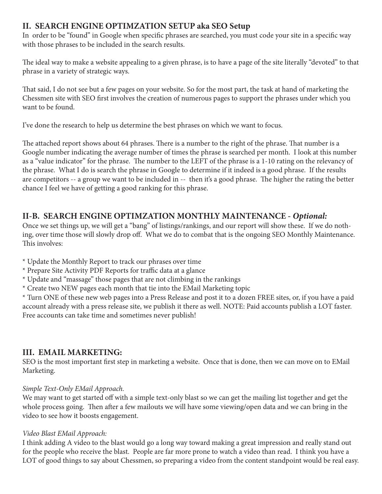# **II. SEARCH ENGINE OPTIMZATION SETUP aka SEO Setup**

In order to be "found" in Google when specific phrases are searched, you must code your site in a specific way with those phrases to be included in the search results.

The ideal way to make a website appealing to a given phrase, is to have a page of the site literally "devoted" to that phrase in a variety of strategic ways.

That said, I do not see but a few pages on your website. So for the most part, the task at hand of marketing the Chessmen site with SEO first involves the creation of numerous pages to support the phrases under which you want to be found.

I've done the research to help us determine the best phrases on which we want to focus.

The attached report shows about 64 phrases. There is a number to the right of the phrase. That number is a Google number indicating the average number of times the phrase is searched per month. I look at this number as a "value indicator" for the phrase. The number to the LEFT of the phrase is a 1-10 rating on the relevancy of the phrase. What I do is search the phrase in Google to determine if it indeed is a good phrase. If the results are competitors -- a group we want to be included in -- then it's a good phrase. The higher the rating the better chance I feel we have of getting a good ranking for this phrase.

### **II-B. SEARCH ENGINE OPTIMZATION MONTHLY MAINTENANCE -** *Optional:*

Once we set things up, we will get a "bang" of listings/rankings, and our report will show these. If we do nothing, over time those will slowly drop off. What we do to combat that is the ongoing SEO Monthly Maintenance. This involves:

\* Update the Monthly Report to track our phrases over time

- \* Prepare Site Activity PDF Reports for traffic data at a glance
- \* Update and "massage" those pages that are not climbing in the rankings
- \* Create two NEW pages each month that tie into the EMail Marketing topic

\* Turn ONE of these new web pages into a Press Release and post it to a dozen FREE sites, or, if you have a paid account already with a press release site, we publish it there as well. NOTE: Paid accounts publish a LOT faster. Free accounts can take time and sometimes never publish!

### **III. EMAIL MARKETING:**

SEO is the most important first step in marketing a website. Once that is done, then we can move on to EMail Marketing.

#### *Simple Text-Only EMail Approach.*

We may want to get started off with a simple text-only blast so we can get the mailing list together and get the whole process going. Then after a few mailouts we will have some viewing/open data and we can bring in the video to see how it boosts engagement.

#### *Video Blast EMail Approach:*

I think adding A video to the blast would go a long way toward making a great impression and really stand out for the people who receive the blast. People are far more prone to watch a video than read. I think you have a LOT of good things to say about Chessmen, so preparing a video from the content standpoint would be real easy.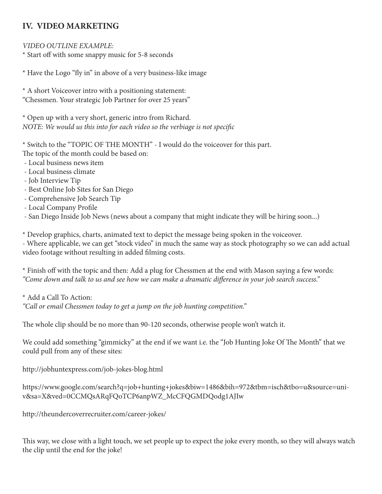# **IV. VIDEO MARKETING**

#### *VIDEO OUTLINE EXAMPLE:*

\* Start off with some snappy music for 5-8 seconds

\* Have the Logo "fly in" in above of a very business-like image

\* A short Voiceover intro with a positioning statement: "Chessmen. Your strategic Job Partner for over 25 years"

\* Open up with a very short, generic intro from Richard. *NOTE: We would us this into for each video so the verbiage is not specific* 

\* Switch to the "TOPIC OF THE MONTH" - I would do the voiceover for this part.

The topic of the month could be based on:

- Local business news item
- Local business climate
- Job Interview Tip
- Best Online Job Sites for San Diego
- Comprehensive Job Search Tip
- Local Company Profile

- San Diego Inside Job News (news about a company that might indicate they will be hiring soon...)

\* Develop graphics, charts, animated text to depict the message being spoken in the voiceover.

- Where applicable, we can get "stock video" in much the same way as stock photography so we can add actual video footage without resulting in added filming costs.

\* Finish off with the topic and then: Add a plug for Chessmen at the end with Mason saying a few words: *"Come down and talk to us and see how we can make a dramatic diff erence in your job search success."*

\* Add a Call To Action:

*"Call or email Chessmen today to get a jump on the job hunting competition."*

The whole clip should be no more than 90-120 seconds, otherwise people won't watch it.

We could add something "gimmicky" at the end if we want i.e. the "Job Hunting Joke Of The Month" that we could pull from any of these sites:

http://jobhuntexpress.com/job-jokes-blog.html

https://www.google.com/search?q=job+hunting+jokes&biw=1486&bih=972&tbm=isch&tbo=u&source=univ&sa=X&ved=0CCMQsARqFQoTCP6anpWZ\_McCFQGMDQodg1AJIw

http://theundercoverrecruiter.com/career-jokes/

This way, we close with a light touch, we set people up to expect the joke every month, so they will always watch the clip until the end for the joke!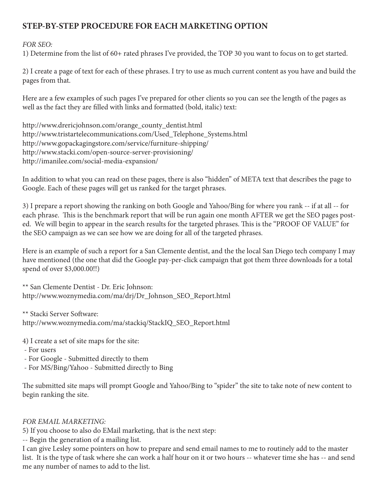# **STEP-BY-STEP PROCEDURE FOR EACH MARKETING OPTION**

#### *FOR SEO:*

1) Determine from the list of 60+ rated phrases I've provided, the TOP 30 you want to focus on to get started.

2) I create a page of text for each of these phrases. I try to use as much current content as you have and build the pages from that.

Here are a few examples of such pages I've prepared for other clients so you can see the length of the pages as well as the fact they are filled with links and formatted (bold, italic) text:

http://www.drericjohnson.com/orange\_county\_dentist.html http://www.tristartelecommunications.com/Used\_Telephone\_Systems.html http://www.gopackagingstore.com/service/furniture-shipping/ http://www.stacki.com/open-source-server-provisioning/ http://imanilee.com/social-media-expansion/

In addition to what you can read on these pages, there is also "hidden" of META text that describes the page to Google. Each of these pages will get us ranked for the target phrases.

3) I prepare a report showing the ranking on both Google and Yahoo/Bing for where you rank -- if at all -- for each phrase. This is the benchmark report that will be run again one month AFTER we get the SEO pages posted. We will begin to appear in the search results for the targeted phrases. This is the "PROOF OF VALUE" for the SEO campaign as we can see how we are doing for all of the targeted phrases.

Here is an example of such a report for a San Clemente dentist, and the the local San Diego tech company I may have mentioned (the one that did the Google pay-per-click campaign that got them three downloads for a total spend of over \$3,000.00!!)

\*\* San Clemente Dentist - Dr. Eric Johnson: http://www.woznymedia.com/ma/drj/Dr\_Johnson\_SEO\_Report.html

\*\* Stacki Server Software: http://www.woznymedia.com/ma/stackiq/StackIQ\_SEO\_Report.html

- 4) I create a set of site maps for the site:
- For users
- For Google Submitted directly to them
- For MS/Bing/Yahoo Submitted directly to Bing

The submitted site maps will prompt Google and Yahoo/Bing to "spider" the site to take note of new content to begin ranking the site.

#### *FOR EMAIL MARKETING:*

5) If you choose to also do EMail marketing, that is the next step:

-- Begin the generation of a mailing list.

I can give Lesley some pointers on how to prepare and send email names to me to routinely add to the master list. It is the type of task where she can work a half hour on it or two hours -- whatever time she has -- and send me any number of names to add to the list.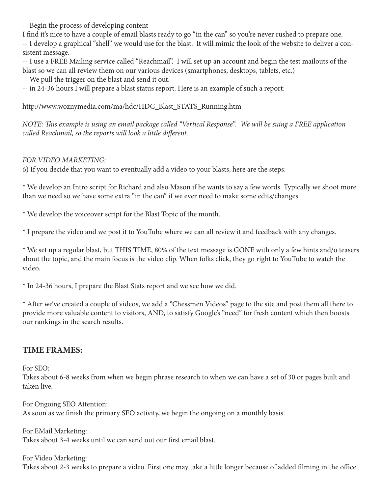-- Begin the process of developing content

I find it's nice to have a couple of email blasts ready to go "in the can" so you're never rushed to prepare one.

-- I develop a graphical "shell" we would use for the blast. It will mimic the look of the website to deliver a consistent message.

-- I use a FREE Mailing service called "Reachmail". I will set up an account and begin the test mailouts of the blast so we can all review them on our various devices (smartphones, desktops, tablets, etc.)

-- We pull the trigger on the blast and send it out.

-- in 24-36 hours I will prepare a blast status report. Here is an example of such a report:

http://www.woznymedia.com/ma/hdc/HDC\_Blast\_STATS\_Running.htm

*NOTE: This example is using an email package called "Vertical Response". We will be suing a FREE application called Reachmail, so the reports will look a little different.* 

# *FOR VIDEO MARKETING:*

6) If you decide that you want to eventually add a video to your blasts, here are the steps:

\* We develop an Intro script for Richard and also Mason if he wants to say a few words. Typically we shoot more than we need so we have some extra "in the can" if we ever need to make some edits/changes.

\* We develop the voiceover script for the Blast Topic of the month.

\* I prepare the video and we post it to YouTube where we can all review it and feedback with any changes.

\* We set up a regular blast, but THIS TIME, 80% of the text message is GONE with only a few hints and/o teasers about the topic, and the main focus is the video clip. When folks click, they go right to YouTube to watch the video.

\* In 24-36 hours, I prepare the Blast Stats report and we see how we did.

\* After we've created a couple of videos, we add a "Chessmen Videos" page to the site and post them all there to provide more valuable content to visitors, AND, to satisfy Google's "need" for fresh content which then boosts our rankings in the search results.

# **TIME FRAMES:**

For SEO:

Takes about 6-8 weeks from when we begin phrase research to when we can have a set of 30 or pages built and taken live.

For Ongoing SEO Attention: As soon as we finish the primary SEO activity, we begin the ongoing on a monthly basis.

For EMail Marketing: Takes about 3-4 weeks until we can send out our first email blast.

For Video Marketing:

Takes about 2-3 weeks to prepare a video. First one may take a little longer because of added filming in the office.